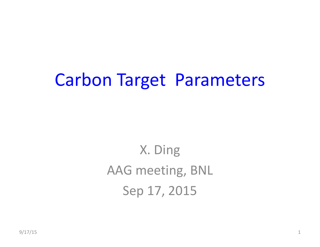### Carbon Target Parameters

X. Ding AAG meeting, BNL Sep 17, 2015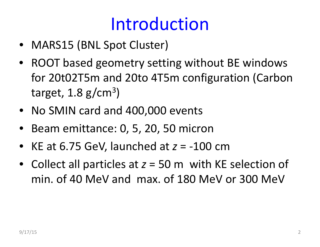## Introduction

- MARS15 (BNL Spot Cluster)
- ROOT based geometry setting without BE windows for 20t02T5m and 20to 4T5m configuration (Carbon target,  $1.8$  g/cm<sup>3</sup>)
- No SMIN card and 400,000 events
- •• Beam emittance: 0, 5, 20, 50 micron
- KE at 6.75 GeV, launched at *<sup>z</sup>* <sup>=</sup> ‐100 cm
- Collect all particles at *<sup>z</sup>* <sup>=</sup> 50 <sup>m</sup> with KE selection of min. of 40 MeV and max. of 180 MeV or 300 MeV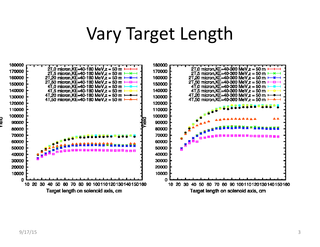#### Vary Target Length

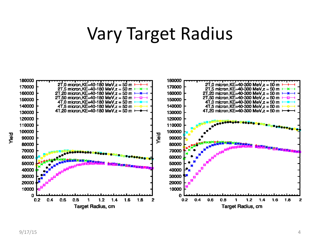#### Vary Target Radius

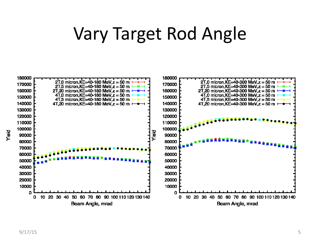### Vary Target Rod Angle

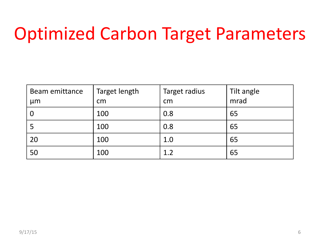## Optimized Carbon Target Parameters

| Beam emittance<br>µm | Target length<br>cm | Target radius<br>cm | Tilt angle<br>mrad |
|----------------------|---------------------|---------------------|--------------------|
|                      | 100                 | 0.8                 | 65                 |
|                      | 100                 | 0.8                 | 65                 |
| 20                   | 100                 | 1.0                 | 65                 |
| 50                   | 100                 | 1.2                 | 65                 |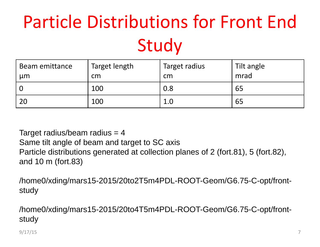# Particle Distributions for Front EndStudy

| Beam emittance<br>$\mu$ m | Target length<br>cm | Target radius<br>cm | Tilt angle<br>mrad |
|---------------------------|---------------------|---------------------|--------------------|
|                           | 100                 | 0.8                 | 65                 |
| 20                        | 100                 | 1.0                 | 65                 |

Target radius/beam radius  $=$  4 Same tilt angle of beam and target to SC axis Particle distributions generated at collection planes of 2 (fort.81), 5 (fort.82), and 10 m (fort.83)

/home0/xding/mars15-2015/20to2T5m4PDL-ROOT-Geom/G6.75-C-opt/frontstudy

/home0/xding/mars15-2015/20to4T5m4PDL-ROOT-Geom/G6.75-C-opt/frontstudy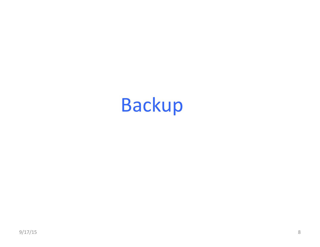# Backup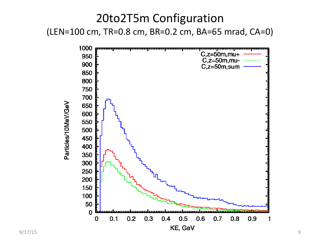#### 20to2T5m Configuration (LEN=100 cm, TR=0.8 cm, BR=0.2 cm, BA=65 mrad, CA=0)